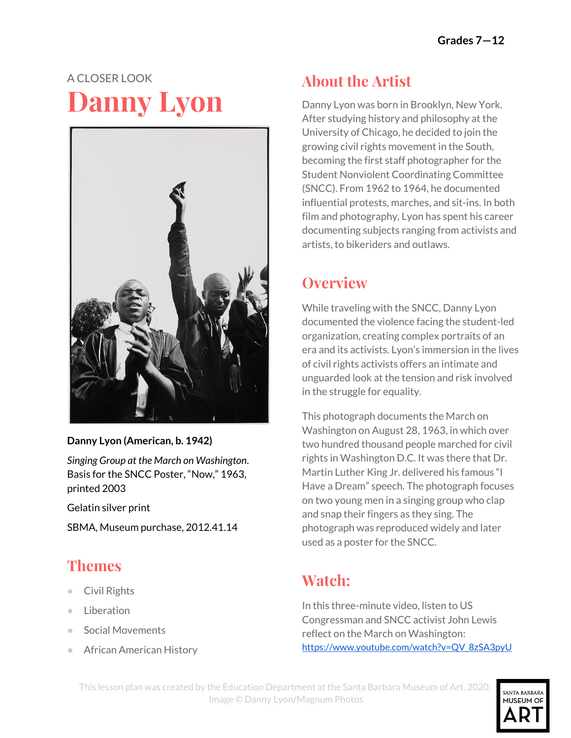# A CLOSER LOOK **Danny Lyon**



#### **Danny Lyon (American, b. 1942)**

*Singing Group at the March on Washington*. Basis for the SNCC Poster, "Now," 1963, printed 2003

Gelatin silver print

SBMA, Museum purchase, 2012.41.14

### **Themes**

- Civil Rights
- Liberation
- **Social Movements**
- **African American History**

### **About the Artist**

Danny Lyon was born in Brooklyn, New York. After studying history and philosophy at the University of Chicago, he decided to join the growing civil rights movement in the South, becoming the first staff photographer for the Student Nonviolent Coordinating Committee (SNCC). From 1962 to 1964, he documented influential protests, marches, and sit-ins. In both film and photography, Lyon has spent his career documenting subjects ranging from activists and artists, to bikeriders and outlaws.

#### **Overview**

While traveling with the SNCC, Danny Lyon documented the violence facing the student-led organization, creating complex portraits of an era and its activists. Lyon's immersion in the lives of civil rights activists offers an intimate and unguarded look at the tension and risk involved in the struggle for equality.

This photograph documents the March on Washington on August 28, 1963, in which over two hundred thousand people marched for civil rights in Washington D.C. It was there that Dr. Martin Luther King Jr. delivered his famous "I Have a Dream" speech. The photograph focuses on two young men in a singing group who clap and snap their fingers as they sing. The photograph was reproduced widely and later used as a poster for the SNCC.

### **Watch:**

In this three-minute video, listen to US Congressman and SNCC activist John Lewis reflect on the March on Washington: [https://www.youtube.com/watch?v=QV\\_8zSA3pyU](https://www.youtube.com/watch?v=QV_8zSA3pyU)

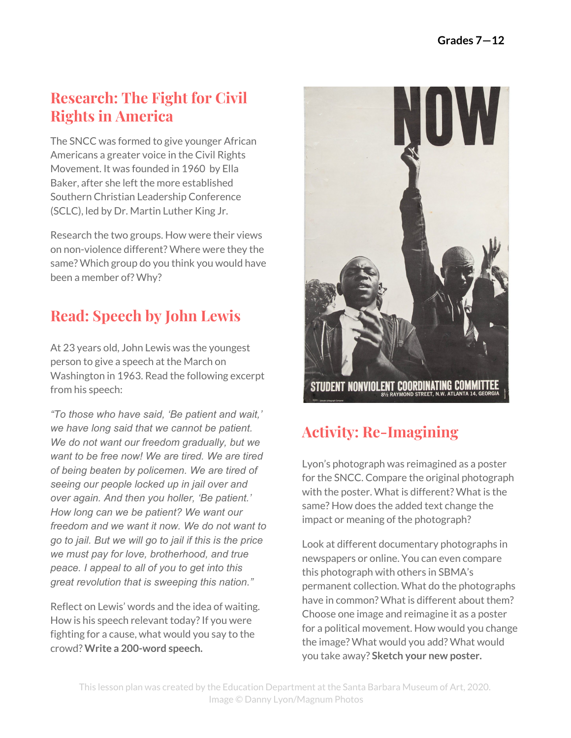#### **Research: The Fight for Civil Rights in America**

The SNCC was formed to give younger African Americans a greater voice in the Civil Rights Movement. It was founded in 1960 by Ella Baker, after she left the more established Southern Christian Leadership Conference (SCLC), led by Dr. Martin Luther King Jr.

Research the two groups. How were their views on non-violence different? Where were they the same? Which group do you think you would have been a member of? Why?

## **Read: Speech by John Lewis**

At 23 years old, John Lewis was the youngest person to give a speech at the March on Washington in 1963. Read the following excerpt from his speech:

*"To those who have said, 'Be patient and wait,' we have long said that we cannot be patient. We do not want our freedom gradually, but we want to be free now! We are tired. We are tired of being beaten by policemen. We are tired of seeing our people locked up in jail over and over again. And then you holler, 'Be patient.' How long can we be patient? We want our freedom and we want it now. We do not want to go to jail. But we will go to jail if this is the price we must pay for love, brotherhood, and true peace. I appeal to all of you to get into this great revolution that is sweeping this nation."*

Reflect on Lewis' words and the idea of waiting. How is his speech relevant today? If you were fighting for a cause, what would you say to the crowd? **Write a 200-word speech.**



# **Activity: Re-Imagining**

Lyon's photograph was reimagined as a poster for the SNCC. Compare the original photograph with the poster. What is different? What is the same? How does the added text change the impact or meaning of the photograph?

Look at different documentary photographs in newspapers or online. You can even compare this photograph with others in SBMA's permanent collection. What do the photographs have in common? What is different about them? Choose one image and reimagine it as a poster for a political movement. How would you change the image? What would you add? What would you take away? **Sketch your new poster.**